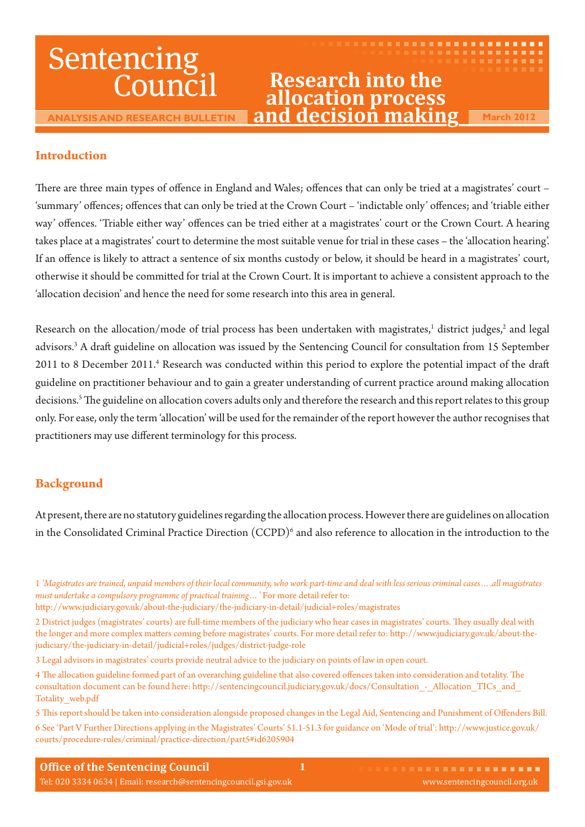# Sentencing Council

**ANALYSIS AND RESEARCH BULLETIN**

# **Research into the allocation process and decision making March 2012**

. . . . . . . . . . . . . . **. . . .** .

. . . . . . . . . **. . . . . . .** 

# **Introduction**

There are three main types of offence in England and Wales; offences that can only be tried at a magistrates' court -'summary' offences; offences that can only be tried at the Crown Court - 'indictable only' offences; and 'triable either way' offences. 'Triable either way' offences can be tried either at a magistrates' court or the Crown Court. A hearing takes place at a magistrates' court to determine the most suitable venue for trial in these cases – the 'allocation hearing'. If an offence is likely to attract a sentence of six months custody or below, it should be heard in a magistrates' court, otherwise it should be committed for trial at the Crown Court. It is important to achieve a consistent approach to the 'allocation decision' and hence the need for some research into this area in general.

Research on the allocation/mode of trial process has been undertaken with magistrates,<sup>1</sup> district judges,<sup>2</sup> and legal advisors.<sup>3</sup> A draft guideline on allocation was issued by the Sentencing Council for consultation from 15 September 2011 to 8 December 2011.<sup>4</sup> Research was conducted within this period to explore the potential impact of the draft guideline on practitioner behaviour and to gain a greater understanding of current practice around making allocation decisions.<sup>5</sup> The guideline on allocation covers adults only and therefore the research and this report relates to this group only. For ease, only the term 'allocation' will be used for the remainder of the report however the author recognises that practitioners may use different terminology for this process.

# **Background**

At present, there are no statutory guidelines regarding the allocation process. However there are guidelines on allocation in the Consolidated Criminal Practice Direction  $(CCPD)^6$  and also reference to allocation in the introduction to the

<sup>1</sup> *'Magistrates are trained, unpaid members of their local community, who work part-time and deal with less serious criminal cases….all magistrates must undertake a compulsory programme of practical training…'* For more detail refer to:

http://www.judiciary.gov.uk/about-the-judiciary/the-judiciary-in-detail/judicial+roles/magistrates

<sup>2</sup> District judges (magistrates' courts) are full-time members of the judiciary who hear cases in magistrates' courts. They usually deal with the longer and more complex matters coming before magistrates' courts. For more detail refer to: http://www.judiciary.gov.uk/about-thejudiciary/the-judiciary-in-detail/judicial+roles/judges/district-judge-role

<sup>3</sup> Legal advisors in magistrates' courts provide neutral advice to the judiciary on points of law in open court.

<sup>4</sup> The allocation guideline formed part of an overarching guideline that also covered offences taken into consideration and totality. The consultation document can be found here: http://sentencingcouncil.judiciary.gov.uk/docs/Consultation - Allocation\_TICs\_and Totality\_web.pdf

<sup>5</sup> This report should be taken into consideration alongside proposed changes in the Legal Aid, Sentencing and Punishment of Offenders Bill. 6 See 'Part V Further Directions applying in the Magistrates' Courts' 51.1-51.3 for guidance on 'Mode of trial': http://www.justice.gov.uk/ courts/procedure-rules/criminal/practice-direction/part5#id6205904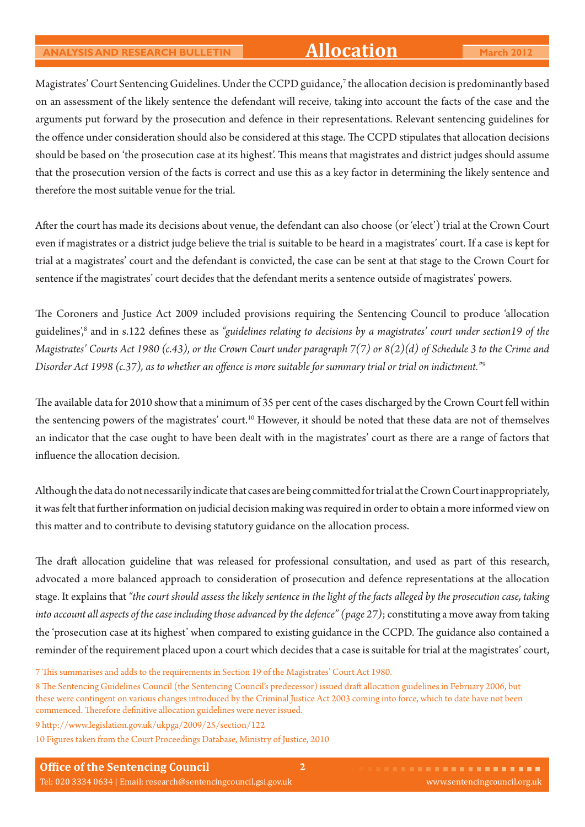Magistrates' Court Sentencing Guidelines. Under the CCPD guidance,7 the allocation decision is predominantly based on an assessment of the likely sentence the defendant will receive, taking into account the facts of the case and the arguments put forward by the prosecution and defence in their representations. Relevant sentencing guidelines for the offence under consideration should also be considered at this stage. The CCPD stipulates that allocation decisions should be based on 'the prosecution case at its highest'. This means that magistrates and district judges should assume that the prosecution version of the facts is correct and use this as a key factor in determining the likely sentence and therefore the most suitable venue for the trial.

After the court has made its decisions about venue, the defendant can also choose (or 'elect') trial at the Crown Court even if magistrates or a district judge believe the trial is suitable to be heard in a magistrates' court. If a case is kept for trial at a magistrates' court and the defendant is convicted, the case can be sent at that stage to the Crown Court for sentence if the magistrates' court decides that the defendant merits a sentence outside of magistrates' powers.

The Coroners and Justice Act 2009 included provisions requiring the Sentencing Council to produce 'allocation guidelines',<sup>8</sup> and in s.122 defines these as "g*uidelines relating to decisions by a magistrates' court under section19 of the Magistrates' Courts Act 1980 (c.43), or the Crown Court under paragraph 7(7) or 8(2)(d) of Schedule 3 to the Crime and Disorder Act 1998 (c.37), as to whether an offence is more suitable for summary trial or trial on indictment.*"<sup>9</sup>

The available data for 2010 show that a minimum of 35 per cent of the cases discharged by the Crown Court fell within the sentencing powers of the magistrates' court.<sup>10</sup> However, it should be noted that these data are not of themselves an indicator that the case ought to have been dealt with in the magistrates' court as there are a range of factors that influence the allocation decision.

Although the data do not necessarily indicate that cases are being committed for trial at the Crown Court inappropriately, it was felt that further information on judicial decision making was required in order to obtain a more informed view on this matter and to contribute to devising statutory guidance on the allocation process.

The draft allocation guideline that was released for professional consultation, and used as part of this research, advocated a more balanced approach to consideration of prosecution and defence representations at the allocation stage. It explains that *"the court should assess the likely sentence in the light of the facts alleged by the prosecution case, taking into account all aspects of the case including those advanced by the defence" (page 27)*; constituting a move away from taking the 'prosecution case at its highest' when compared to existing guidance in the CCPD. The guidance also contained a reminder of the requirement placed upon a court which decides that a case is suitable for trial at the magistrates' court,

<sup>7</sup> This summarises and adds to the requirements in Section 19 of the Magistrates' Court Act 1980.

<sup>8</sup> The Sentencing Guidelines Council (the Sentencing Council's predecessor) issued draft allocation guidelines in February 2006, but these were contingent on various changes introduced by the Criminal Justice Act 2003 coming into force, which to date have not been commenced. Therefore definitive allocation guidelines were never issued.

<sup>9</sup> http://www.legislation.gov.uk/ukpga/2009/25/section/122

<sup>10</sup> Figures taken from the Court Proceedings Database, Ministry of Justice, 2010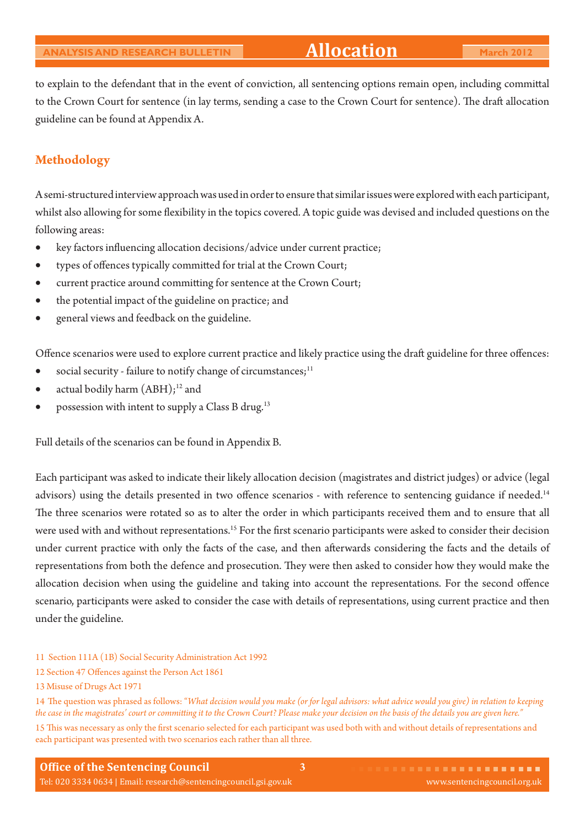to explain to the defendant that in the event of conviction, all sentencing options remain open, including committal to the Crown Court for sentence (in lay terms, sending a case to the Crown Court for sentence). The draft allocation guideline can be found at Appendix A.

## **Methodology**

A semi-structured interview approach was used in order to ensure that similar issues were explored with each participant, whilst also allowing for some flexibility in the topics covered. A topic guide was devised and included questions on the following areas:

- key factors influencing allocation decisions/advice under current practice;
- types of offences typically committed for trial at the Crown Court;
- current practice around committing for sentence at the Crown Court;
- the potential impact of the guideline on practice; and
- general views and feedback on the guideline.

Offence scenarios were used to explore current practice and likely practice using the draft guideline for three offences:

- social security failure to notify change of circumstances; $11$
- actual bodily harm  $(ABH);^{12}$  and
- possession with intent to supply a Class B drug.<sup>13</sup>

Full details of the scenarios can be found in Appendix B.

Each participant was asked to indicate their likely allocation decision (magistrates and district judges) or advice (legal advisors) using the details presented in two offence scenarios - with reference to sentencing guidance if needed.<sup>14</sup> The three scenarios were rotated so as to alter the order in which participants received them and to ensure that all were used with and without representations.<sup>15</sup> For the first scenario participants were asked to consider their decision under current practice with only the facts of the case, and then afterwards considering the facts and the details of representations from both the defence and prosecution. They were then asked to consider how they would make the allocation decision when using the guideline and taking into account the representations. For the second offence scenario, participants were asked to consider the case with details of representations, using current practice and then under the guideline.

- 11 Section 111A (1B) Social Security Administration Act 1992
- 12 Section 47 Offences against the Person Act 1861
- 13 Misuse of Drugs Act 1971

15 This was necessary as only the first scenario selected for each participant was used both with and without details of representations and each participant was presented with two scenarios each rather than all three.

<sup>14</sup> The question was phrased as follows: "What decision would you make (or for legal advisors: what advice would you give) in relation to keeping the case in the magistrates' court or committing it to the Crown Court? Please make your decision on the basis of the details you are given here."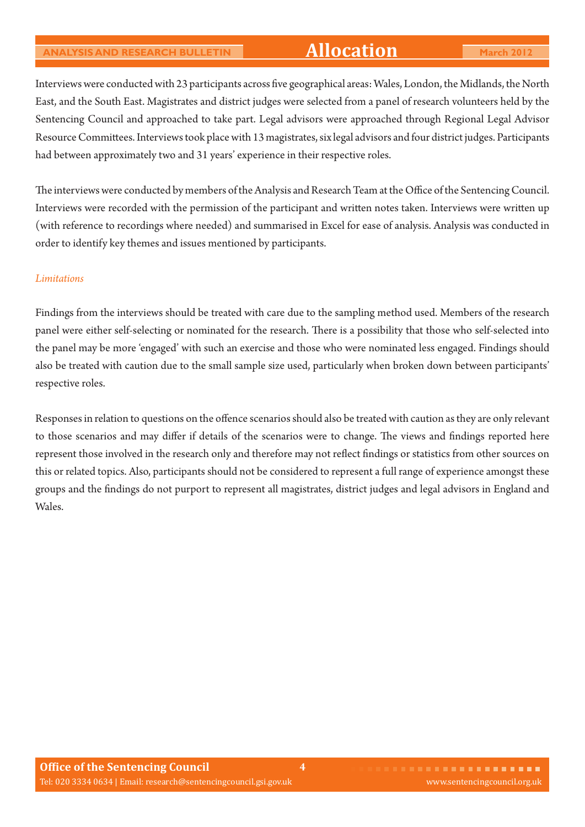# **ANALYSIS AND RESEARCH BULLETIN Allocation March 2012**

Interviews were conducted with 23 participants across five geographical areas: Wales, London, the Midlands, the North East, and the South East. Magistrates and district judges were selected from a panel of research volunteers held by the Sentencing Council and approached to take part. Legal advisors were approached through Regional Legal Advisor Resource Committees. Interviews took place with 13 magistrates, six legal advisors and four district judges. Participants had between approximately two and 31 years' experience in their respective roles.

The interviews were conducted by members of the Analysis and Research Team at the Office of the Sentencing Council. Interviews were recorded with the permission of the participant and written notes taken. Interviews were written up (with reference to recordings where needed) and summarised in Excel for ease of analysis. Analysis was conducted in order to identify key themes and issues mentioned by participants.

#### *Limitations*

Findings from the interviews should be treated with care due to the sampling method used. Members of the research panel were either self-selecting or nominated for the research. There is a possibility that those who self-selected into the panel may be more 'engaged' with such an exercise and those who were nominated less engaged. Findings should also be treated with caution due to the small sample size used, particularly when broken down between participants' respective roles.

Responses in relation to questions on the offence scenarios should also be treated with caution as they are only relevant to those scenarios and may differ if details of the scenarios were to change. The views and findings reported here represent those involved in the research only and therefore may not reflect findings or statistics from other sources on this or related topics. Also, participants should not be considered to represent a full range of experience amongst these groups and the findings do not purport to represent all magistrates, district judges and legal advisors in England and Wales.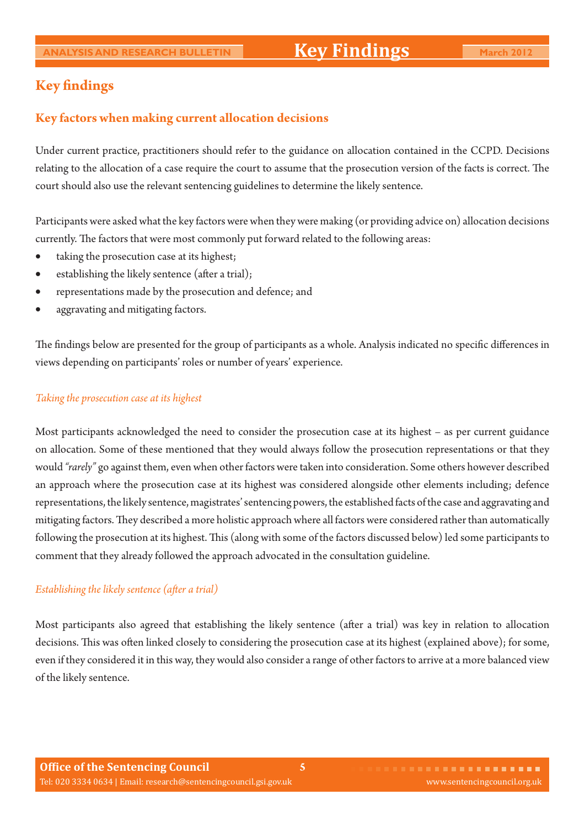# **Key findings**

### **Key factors when making current allocation decisions**

Under current practice, practitioners should refer to the guidance on allocation contained in the CCPD. Decisions relating to the allocation of a case require the court to assume that the prosecution version of the facts is correct. The court should also use the relevant sentencing guidelines to determine the likely sentence.

Participants were asked what the key factors were when they were making (or providing advice on) allocation decisions currently. The factors that were most commonly put forward related to the following areas:

- taking the prosecution case at its highest;
- establishing the likely sentence (after a trial);
- representations made by the prosecution and defence; and
- aggravating and mitigating factors.

The findings below are presented for the group of participants as a whole. Analysis indicated no specific differences in views depending on participants' roles or number of years' experience.

#### *Taking the prosecution case at its highest*

Most participants acknowledged the need to consider the prosecution case at its highest – as per current guidance on allocation. Some of these mentioned that they would always follow the prosecution representations or that they would *"rarely"* go against them, even when other factors were taken into consideration. Some others however described an approach where the prosecution case at its highest was considered alongside other elements including; defence representations, the likely sentence, magistrates' sentencing powers, the established facts of the case and aggravating and mitigating factors. They described a more holistic approach where all factors were considered rather than automatically following the prosecution at its highest. This (along with some of the factors discussed below) led some participants to comment that they already followed the approach advocated in the consultation guideline.

#### *Establishing the likely sentence (after a trial)*

Most participants also agreed that establishing the likely sentence (after a trial) was key in relation to allocation decisions. This was often linked closely to considering the prosecution case at its highest (explained above); for some, even if they considered it in this way, they would also consider a range of other factors to arrive at a more balanced view of the likely sentence.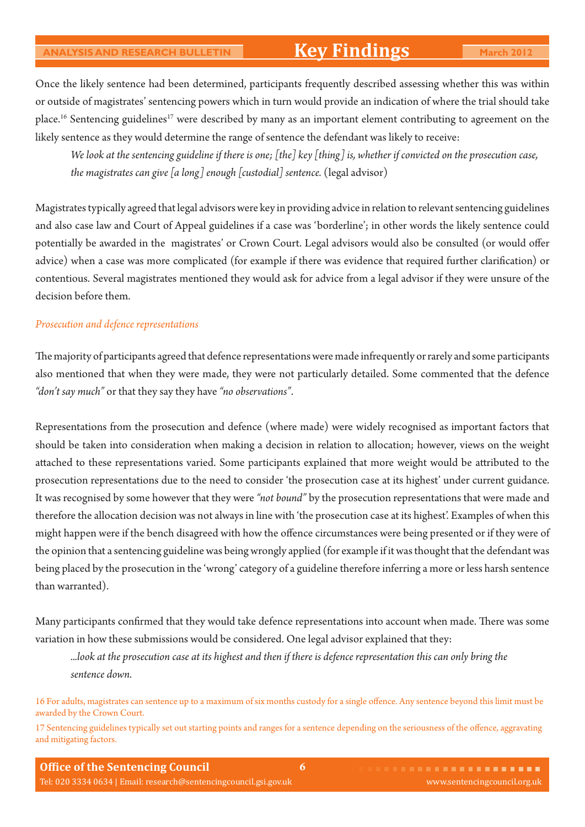# **Key Findings**

Once the likely sentence had been determined, participants frequently described assessing whether this was within or outside of magistrates' sentencing powers which in turn would provide an indication of where the trial should take place.<sup>16</sup> Sentencing guidelines<sup>17</sup> were described by many as an important element contributing to agreement on the likely sentence as they would determine the range of sentence the defendant was likely to receive:

 *We look at the sentencing guideline if there is one; [the] key [thing] is, whether if convicted on the prosecution case, the magistrates can give [a long] enough [custodial] sentence.* (legal advisor)

Magistrates typically agreed that legal advisors were key in providing advice in relation to relevant sentencing guidelines and also case law and Court of Appeal guidelines if a case was 'borderline'; in other words the likely sentence could potentially be awarded in the magistrates' or Crown Court. Legal advisors would also be consulted (or would offer advice) when a case was more complicated (for example if there was evidence that required further clarification) or contentious. Several magistrates mentioned they would ask for advice from a legal advisor if they were unsure of the decision before them.

#### *Prosecution and defence representations*

The majority of participants agreed that defence representations were made infrequently or rarely and some participants also mentioned that when they were made, they were not particularly detailed. Some commented that the defence *"don't say much"* or that they say they have *"no observations"*.

Representations from the prosecution and defence (where made) were widely recognised as important factors that should be taken into consideration when making a decision in relation to allocation; however, views on the weight attached to these representations varied. Some participants explained that more weight would be attributed to the prosecution representations due to the need to consider 'the prosecution case at its highest' under current guidance. It was recognised by some however that they were *"not bound"* by the prosecution representations that were made and therefore the allocation decision was not always in line with 'the prosecution case at its highest'. Examples of when this might happen were if the bench disagreed with how the offence circumstances were being presented or if they were of the opinion that a sentencing guideline was being wrongly applied (for example if it was thought that the defendant was being placed by the prosecution in the 'wrong' category of a guideline therefore inferring a more or less harsh sentence than warranted).

Many participants confirmed that they would take defence representations into account when made. There was some variation in how these submissions would be considered. One legal advisor explained that they:

*...look at the prosecution case at its highest and then if there is defence representation this can only bring the sentence down.*

16 For adults, magistrates can sentence up to a maximum of six months custody for a single offence. Any sentence beyond this limit must be awarded by the Crown Court.

17 Sentencing guidelines typically set out starting points and ranges for a sentence depending on the seriousness of the offence, aggravating and mitigating factors.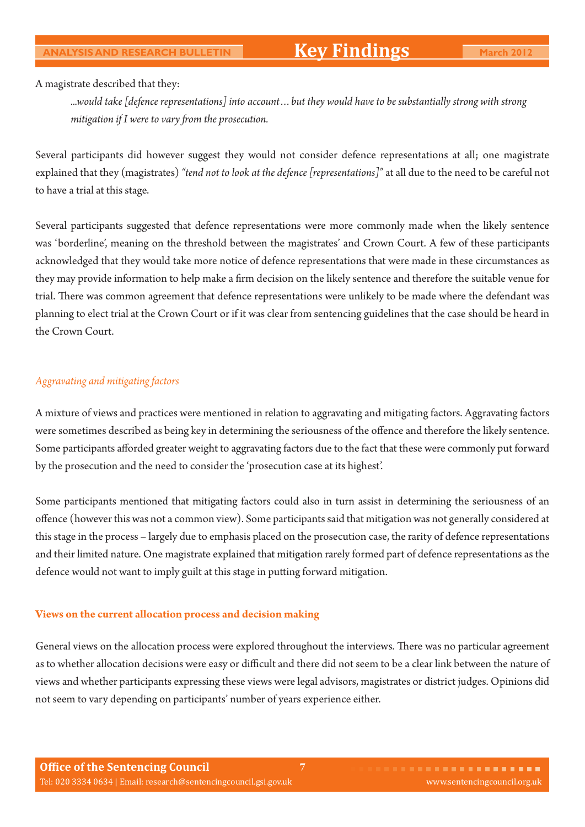#### A magistrate described that they:

*...would take [defence representations] into account…but they would have to be substantially strong with strong mitigation if I were to vary from the prosecution.* 

Several participants did however suggest they would not consider defence representations at all; one magistrate explained that they (magistrates) *"tend not to look at the defence [representations]"* at all due to the need to be careful not to have a trial at this stage.

Several participants suggested that defence representations were more commonly made when the likely sentence was 'borderline', meaning on the threshold between the magistrates' and Crown Court. A few of these participants acknowledged that they would take more notice of defence representations that were made in these circumstances as they may provide information to help make a firm decision on the likely sentence and therefore the suitable venue for trial. There was common agreement that defence representations were unlikely to be made where the defendant was planning to elect trial at the Crown Court or if it was clear from sentencing guidelines that the case should be heard in the Crown Court.

#### *Aggravating and mitigating factors*

A mixture of views and practices were mentioned in relation to aggravating and mitigating factors. Aggravating factors were sometimes described as being key in determining the seriousness of the offence and therefore the likely sentence. Some participants afforded greater weight to aggravating factors due to the fact that these were commonly put forward by the prosecution and the need to consider the 'prosecution case at its highest'.

Some participants mentioned that mitigating factors could also in turn assist in determining the seriousness of an offence (however this was not a common view). Some participants said that mitigation was not generally considered at this stage in the process – largely due to emphasis placed on the prosecution case, the rarity of defence representations and their limited nature. One magistrate explained that mitigation rarely formed part of defence representations as the defence would not want to imply guilt at this stage in putting forward mitigation.

### **Views on the current allocation process and decision making**

General views on the allocation process were explored throughout the interviews. There was no particular agreement as to whether allocation decisions were easy or difficult and there did not seem to be a clear link between the nature of views and whether participants expressing these views were legal advisors, magistrates or district judges. Opinions did not seem to vary depending on participants' number of years experience either.

**7**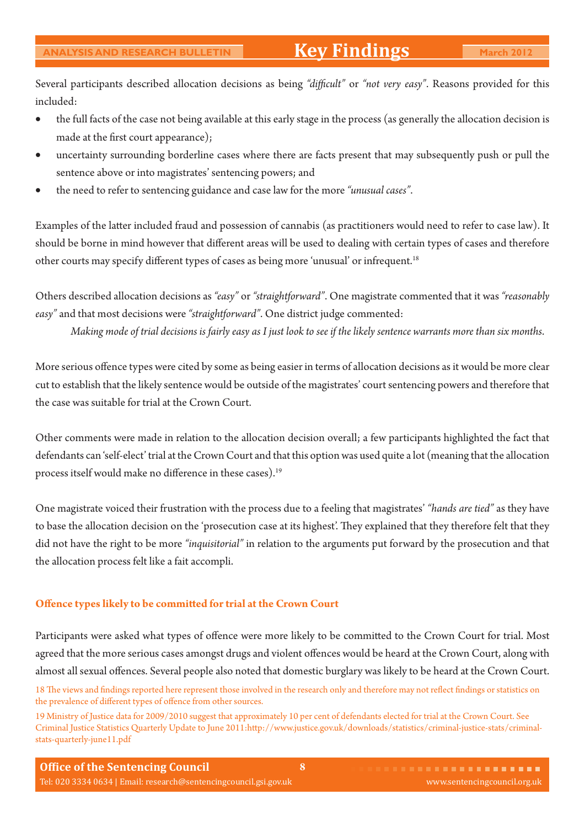Several participants described allocation decisions as being "difficult" or "not very easy". Reasons provided for this included:

- the full facts of the case not being available at this early stage in the process (as generally the allocation decision is made at the first court appearance);
- uncertainty surrounding borderline cases where there are facts present that may subsequently push or pull the sentence above or into magistrates' sentencing powers; and
- the need to refer to sentencing guidance and case law for the more *"unusual cases"*.

Examples of the latter included fraud and possession of cannabis (as practitioners would need to refer to case law). It should be borne in mind however that different areas will be used to dealing with certain types of cases and therefore other courts may specify different types of cases as being more 'unusual' or infrequent.<sup>18</sup>

Others described allocation decisions as *"easy"* or *"straightforward"*. One magistrate commented that it was *"reasonably easy"* and that most decisions were *"straightforward"*. One district judge commented:

*Making mode of trial decisions is fairly easy as I just look to see if the likely sentence warrants more than six months*.

More serious offence types were cited by some as being easier in terms of allocation decisions as it would be more clear cut to establish that the likely sentence would be outside of the magistrates' court sentencing powers and therefore that the case was suitable for trial at the Crown Court.

Other comments were made in relation to the allocation decision overall; a few participants highlighted the fact that defendants can 'self-elect' trial at the Crown Court and that this option was used quite a lot (meaning that the allocation process itself would make no difference in these cases).<sup>19</sup>

One magistrate voiced their frustration with the process due to a feeling that magistrates' *"hands are tied"* as they have to base the allocation decision on the 'prosecution case at its highest'. They explained that they therefore felt that they did not have the right to be more *"inquisitorial"* in relation to the arguments put forward by the prosecution and that the allocation process felt like a fait accompli.

#### **Offence types likely to be committed for trial at the Crown Court**

Participants were asked what types of offence were more likely to be committed to the Crown Court for trial. Most agreed that the more serious cases amongst drugs and violent offences would be heard at the Crown Court, along with almost all sexual offences. Several people also noted that domestic burglary was likely to be heard at the Crown Court.

18 The views and findings reported here represent those involved in the research only and therefore may not reflect findings or statistics on the prevalence of different types of offence from other sources.

19 Ministry of Justice data for 2009/2010 suggest that approximately 10 per cent of defendants elected for trial at the Crown Court. See Criminal Justice Statistics Quarterly Update to June 2011:http://www.justice.gov.uk/downloads/statistics/criminal-justice-stats/criminalstats-quarterly-june11.pdf

**8**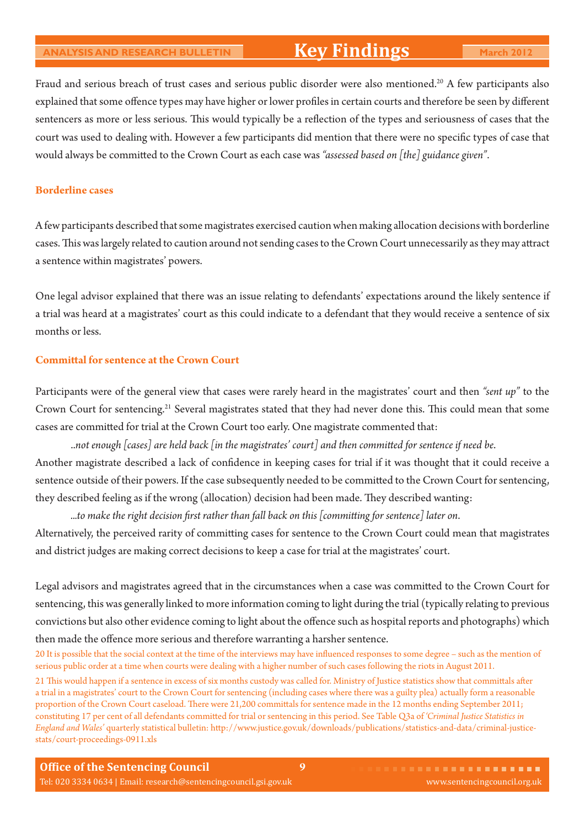# **Key Findings**

Fraud and serious breach of trust cases and serious public disorder were also mentioned.<sup>20</sup> A few participants also explained that some offence types may have higher or lower profiles in certain courts and therefore be seen by different sentencers as more or less serious. This would typically be a reflection of the types and seriousness of cases that the court was used to dealing with. However a few participants did mention that there were no specific types of case that would always be committed to the Crown Court as each case was "assessed based on [the] guidance given".

#### **Borderline cases**

A few participants described that some magistrates exercised caution when making allocation decisions with borderline cases. This was largely related to caution around not sending cases to the Crown Court unnecessarily as they may attract a sentence within magistrates' powers.

One legal advisor explained that there was an issue relating to defendants' expectations around the likely sentence if a trial was heard at a magistrates' court as this could indicate to a defendant that they would receive a sentence of six months or less.

#### **Committal for sentence at the Crown Court**

Participants were of the general view that cases were rarely heard in the magistrates' court and then *"sent up"* to the Crown Court for sentencing.<sup>21</sup> Several magistrates stated that they had never done this. This could mean that some cases are committed for trial at the Crown Court too early. One magistrate commented that:

..not enough [cases] are held back [in the magistrates' court] and then committed for sentence if need be.

Another magistrate described a lack of confidence in keeping cases for trial if it was thought that it could receive a sentence outside of their powers. If the case subsequently needed to be committed to the Crown Court for sentencing, they described feeling as if the wrong (allocation) decision had been made. They described wanting:

...to make the right decision first rather than fall back on this *[committing for sentence]* later on. Alternatively, the perceived rarity of committing cases for sentence to the Crown Court could mean that magistrates and district judges are making correct decisions to keep a case for trial at the magistrates' court.

Legal advisors and magistrates agreed that in the circumstances when a case was committed to the Crown Court for sentencing, this was generally linked to more information coming to light during the trial (typically relating to previous convictions but also other evidence coming to light about the offence such as hospital reports and photographs) which then made the offence more serious and therefore warranting a harsher sentence.

20 It is possible that the social context at the time of the interviews may have influenced responses to some degree – such as the mention of serious public order at a time when courts were dealing with a higher number of such cases following the riots in August 2011.

21 This would happen if a sentence in excess of six months custody was called for. Ministry of Justice statistics show that committals after a trial in a magistrates' court to the Crown Court for sentencing (including cases where there was a guilty plea) actually form a reasonable proportion of the Crown Court caseload. There were 21,200 committals for sentence made in the 12 months ending September 2011; constituting 17 per cent of all defendants committed for trial or sentencing in this period. See Table Q3a of 'Criminal Justice Statistics in *England and Wales'* quarterly statistical bulletin: http://www.justice.gov.uk/downloads/publications/statistics-and-data/criminal-justicestats/court-proceedings-0911.xls

**9**

**Office of the Sentencing Council** Tel: 020 3334 0634 | Email: research@sentencingcouncil.gsi.gov.uk www.sentencingcouncil.org.uk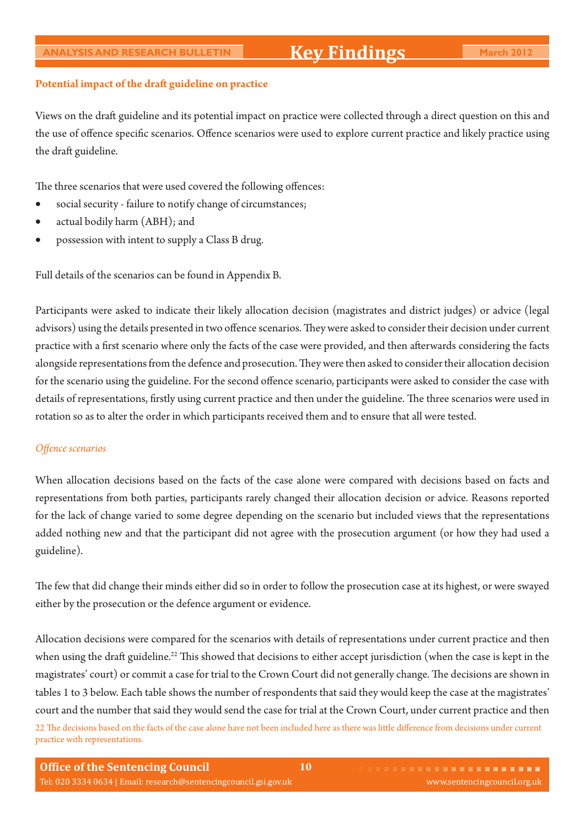#### Potential impact of the draft guideline on practice

Views on the draft guideline and its potential impact on practice were collected through a direct question on this and the use of offence specific scenarios. Offence scenarios were used to explore current practice and likely practice using the draft guideline.

The three scenarios that were used covered the following offences:

- social security failure to notify change of circumstances;
- actual bodily harm (ABH); and
- possession with intent to supply a Class B drug.

Full details of the scenarios can be found in Appendix B.

Participants were asked to indicate their likely allocation decision (magistrates and district judges) or advice (legal advisors) using the details presented in two offence scenarios. They were asked to consider their decision under current practice with a first scenario where only the facts of the case were provided, and then afterwards considering the facts alongside representations from the defence and prosecution. They were then asked to consider their allocation decision for the scenario using the guideline. For the second offence scenario, participants were asked to consider the case with details of representations, firstly using current practice and then under the guideline. The three scenarios were used in rotation so as to alter the order in which participants received them and to ensure that all were tested.

#### *Offence scenarios*

When allocation decisions based on the facts of the case alone were compared with decisions based on facts and representations from both parties, participants rarely changed their allocation decision or advice. Reasons reported for the lack of change varied to some degree depending on the scenario but included views that the representations added nothing new and that the participant did not agree with the prosecution argument (or how they had used a guideline).

The few that did change their minds either did so in order to follow the prosecution case at its highest, or were swayed either by the prosecution or the defence argument or evidence.

Allocation decisions were compared for the scenarios with details of representations under current practice and then when using the draft guideline.<sup>22</sup> This showed that decisions to either accept jurisdiction (when the case is kept in the magistrates' court) or commit a case for trial to the Crown Court did not generally change. The decisions are shown in tables 1 to 3 below. Each table shows the number of respondents that said they would keep the case at the magistrates' court and the number that said they would send the case for trial at the Crown Court, under current practice and then 22 The decisions based on the facts of the case alone have not been included here as there was little difference from decisions under current

practice with representations.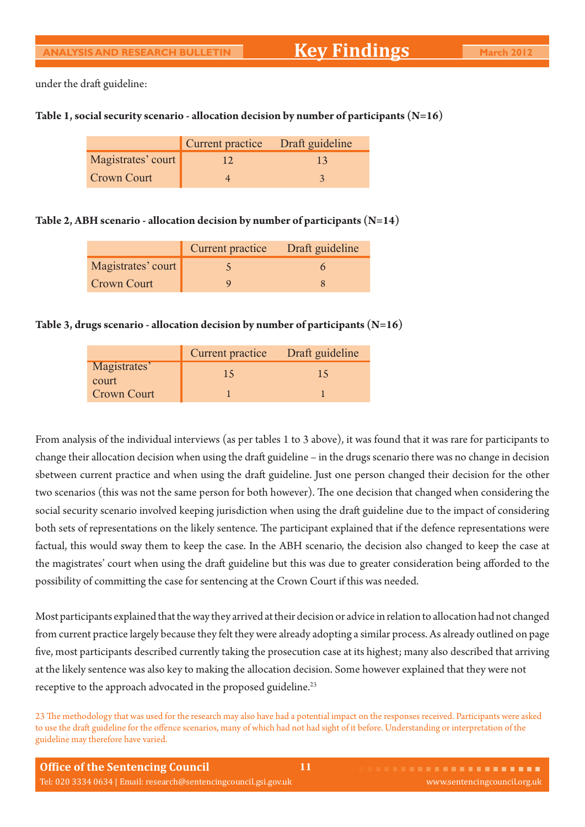under the draft guideline:

#### **Table 1, social security scenario - allocation decision by number of participants (N=16)**

|                    | Current practice Draft guideline |    |
|--------------------|----------------------------------|----|
| Magistrates' court | 12                               | 13 |
| Crown Court        |                                  |    |

#### **Table 2, ABH scenario - allocation decision by number of participants (N=14)**

|                    | Current practice Draft guideline |  |
|--------------------|----------------------------------|--|
| Magistrates' court |                                  |  |
| <b>Crown Court</b> |                                  |  |

#### **Table 3, drugs scenario - allocation decision by number of participants (N=16)**

|                       | Current practice Draft guideline |    |
|-----------------------|----------------------------------|----|
| Magistrates'<br>court | 15                               | 15 |
| <b>Crown Court</b>    |                                  |    |

From analysis of the individual interviews (as per tables 1 to 3 above), it was found that it was rare for participants to change their allocation decision when using the draft guideline – in the drugs scenario there was no change in decision sbetween current practice and when using the draft guideline. Just one person changed their decision for the other two scenarios (this was not the same person for both however). The one decision that changed when considering the social security scenario involved keeping jurisdiction when using the draft guideline due to the impact of considering both sets of representations on the likely sentence. The participant explained that if the defence representations were factual, this would sway them to keep the case. In the ABH scenario, the decision also changed to keep the case at the magistrates' court when using the draft guideline but this was due to greater consideration being afforded to the possibility of committing the case for sentencing at the Crown Court if this was needed.

Most participants explained that the way they arrived at their decision or advice in relation to allocation had not changed from current practice largely because they felt they were already adopting a similar process. As already outlined on page five, most participants described currently taking the prosecution case at its highest; many also described that arriving at the likely sentence was also key to making the allocation decision. Some however explained that they were not receptive to the approach advocated in the proposed guideline.<sup>23</sup>

23 The methodology that was used for the research may also have had a potential impact on the responses received. Participants were asked to use the draft guideline for the offence scenarios, many of which had not had sight of it before. Understanding or interpretation of the guideline may therefore have varied.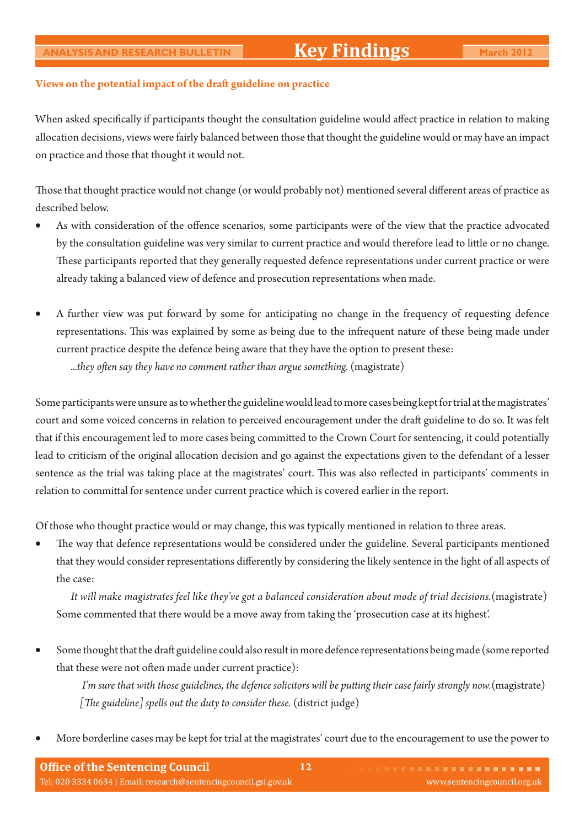#### Views on the potential impact of the draft guideline on practice

When asked specifically if participants thought the consultation guideline would affect practice in relation to making allocation decisions, views were fairly balanced between those that thought the guideline would or may have an impact on practice and those that thought it would not.

Those that thought practice would not change (or would probably not) mentioned several different areas of practice as described below.

- As with consideration of the offence scenarios, some participants were of the view that the practice advocated by the consultation guideline was very similar to current practice and would therefore lead to little or no change. These participants reported that they generally requested defence representations under current practice or were already taking a balanced view of defence and prosecution representations when made.
- A further view was put forward by some for anticipating no change in the frequency of requesting defence representations. This was explained by some as being due to the infrequent nature of these being made under current practice despite the defence being aware that they have the option to present these: ...they often say they have no comment rather than argue something. (magistrate)

Some participants were unsure as to whether the guideline would lead to more cases being kept for trial at the magistrates' court and some voiced concerns in relation to perceived encouragement under the draft guideline to do so. It was felt that if this encouragement led to more cases being committed to the Crown Court for sentencing, it could potentially lead to criticism of the original allocation decision and go against the expectations given to the defendant of a lesser sentence as the trial was taking place at the magistrates' court. This was also reflected in participants' comments in relation to committal for sentence under current practice which is covered earlier in the report.

Of those who thought practice would or may change, this was typically mentioned in relation to three areas.

The way that defence representations would be considered under the guideline. Several participants mentioned that they would consider representations differently by considering the likely sentence in the light of all aspects of the case:

 *It will make magistrates feel like they've got a balanced consideration about mode of trial decisions.*(magistrate) Some commented that there would be a move away from taking the 'prosecution case at its highest'.

Some thought that the draft guideline could also result in more defence representations being made (some reported that these were not often made under current practice):

I'm sure that with those guidelines, the defence solicitors will be putting their case fairly strongly now.(magistrate) *[The guideline] spells out the duty to consider these.* (district judge)

• More borderline cases may be kept for trial at the magistrates' court due to the encouragement to use the power to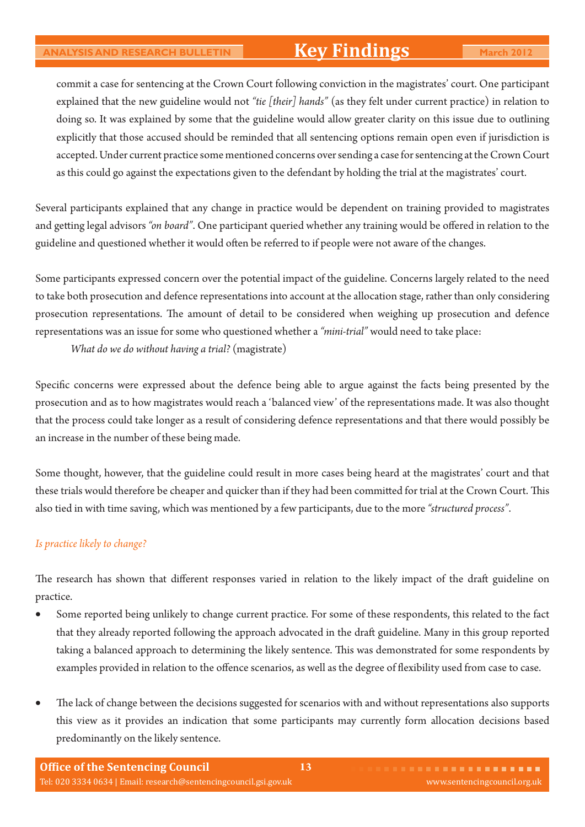# **Key Findings**

commit a case for sentencing at the Crown Court following conviction in the magistrates' court. One participant explained that the new guideline would not *"tie [their] hands"* (as they felt under current practice) in relation to doing so. It was explained by some that the guideline would allow greater clarity on this issue due to outlining explicitly that those accused should be reminded that all sentencing options remain open even if jurisdiction is accepted. Under current practice some mentioned concerns over sending a case for sentencing at the Crown Court as this could go against the expectations given to the defendant by holding the trial at the magistrates' court.

Several participants explained that any change in practice would be dependent on training provided to magistrates and getting legal advisors "on board". One participant queried whether any training would be offered in relation to the guideline and questioned whether it would often be referred to if people were not aware of the changes.

Some participants expressed concern over the potential impact of the guideline. Concerns largely related to the need to take both prosecution and defence representations into account at the allocation stage, rather than only considering prosecution representations. The amount of detail to be considered when weighing up prosecution and defence representations was an issue for some who questioned whether a *"mini-trial"* would need to take place:

 *What do we do without having a trial?* (magistrate)

Specific concerns were expressed about the defence being able to argue against the facts being presented by the prosecution and as to how magistrates would reach a 'balanced view' of the representations made. It was also thought that the process could take longer as a result of considering defence representations and that there would possibly be an increase in the number of these being made.

Some thought, however, that the guideline could result in more cases being heard at the magistrates' court and that these trials would therefore be cheaper and quicker than if they had been committed for trial at the Crown Court. This also tied in with time saving, which was mentioned by a few participants, due to the more *"structured process"*.

#### *Is practice likely to change?*

The research has shown that different responses varied in relation to the likely impact of the draft guideline on practice.

- Some reported being unlikely to change current practice. For some of these respondents, this related to the fact that they already reported following the approach advocated in the draft guideline. Many in this group reported taking a balanced approach to determining the likely sentence. This was demonstrated for some respondents by examples provided in relation to the offence scenarios, as well as the degree of flexibility used from case to case.
- The lack of change between the decisions suggested for scenarios with and without representations also supports this view as it provides an indication that some participants may currently form allocation decisions based predominantly on the likely sentence.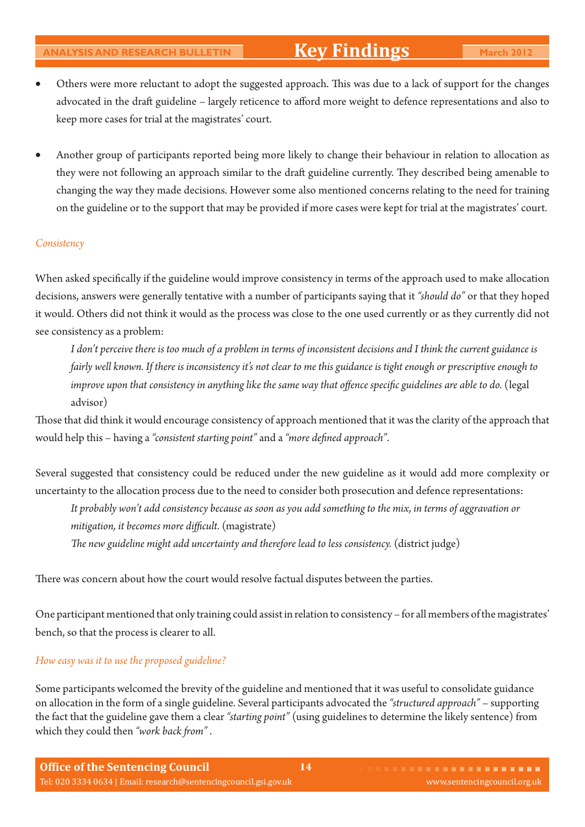- Others were more reluctant to adopt the suggested approach. This was due to a lack of support for the changes advocated in the draft guideline – largely reticence to afford more weight to defence representations and also to keep more cases for trial at the magistrates' court.
- Another group of participants reported being more likely to change their behaviour in relation to allocation as they were not following an approach similar to the draft guideline currently. They described being amenable to changing the way they made decisions. However some also mentioned concerns relating to the need for training on the guideline or to the support that may be provided if more cases were kept for trial at the magistrates' court.

#### *Consistency*

When asked specifically if the guideline would improve consistency in terms of the approach used to make allocation decisions, answers were generally tentative with a number of participants saying that it *"should do"* or that they hoped it would. Others did not think it would as the process was close to the one used currently or as they currently did not see consistency as a problem:

 *I don't perceive there is too much of a problem in terms of inconsistent decisions and I think the current guidance is fairly well known. If there is inconsistency it's not clear to me this guidance is tight enough or prescriptive enough to improve upon that consistency in anything like the same way that offence specific guidelines are able to do.* (legal advisor)

Those that did think it would encourage consistency of approach mentioned that it was the clarity of the approach that would help this – having a "consistent starting point" and a "more defined approach".

Several suggested that consistency could be reduced under the new guideline as it would add more complexity or uncertainty to the allocation process due to the need to consider both prosecution and defence representations:

 *It probably won't add consistency because as soon as you add something to the mix, in terms of aggravation or mitigation, it becomes more difficult.* (magistrate)

The new guideline might add uncertainty and therefore lead to less consistency. (district judge)

There was concern about how the court would resolve factual disputes between the parties.

One participant mentioned that only training could assist in relation to consistency – for all members of the magistrates' bench, so that the process is clearer to all.

#### *How easy was it to use the proposed guideline?*

Some participants welcomed the brevity of the guideline and mentioned that it was useful to consolidate guidance on allocation in the form of a single guideline. Several participants advocated the *"structured approach"* – supporting the fact that the guideline gave them a clear *"starting point"* (using guidelines to determine the likely sentence) from which they could then "work back from".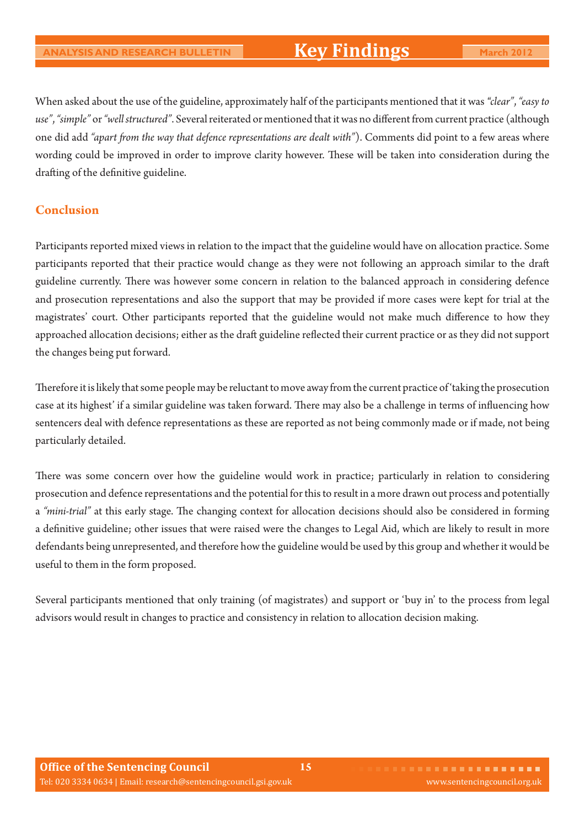When asked about the use of the guideline, approximately half of the participants mentioned that it was *"clear"*, *"easy to*  use", "simple" or "well structured". Several reiterated or mentioned that it was no different from current practice (although one did add "apart from the way that defence representations are dealt with"). Comments did point to a few areas where wording could be improved in order to improve clarity however. These will be taken into consideration during the drafting of the definitive guideline.

### **Conclusion**

Participants reported mixed views in relation to the impact that the guideline would have on allocation practice. Some participants reported that their practice would change as they were not following an approach similar to the dra guideline currently. There was however some concern in relation to the balanced approach in considering defence and prosecution representations and also the support that may be provided if more cases were kept for trial at the magistrates' court. Other participants reported that the guideline would not make much difference to how they approached allocation decisions; either as the draft guideline reflected their current practice or as they did not support the changes being put forward.

Therefore it is likely that some people may be reluctant to move away from the current practice of 'taking the prosecution case at its highest' if a similar guideline was taken forward. There may also be a challenge in terms of influencing how sentencers deal with defence representations as these are reported as not being commonly made or if made, not being particularly detailed.

There was some concern over how the guideline would work in practice; particularly in relation to considering prosecution and defence representations and the potential for this to result in a more drawn out process and potentially a "mini-trial" at this early stage. The changing context for allocation decisions should also be considered in forming a definitive guideline; other issues that were raised were the changes to Legal Aid, which are likely to result in more defendants being unrepresented, and therefore how the guideline would be used by this group and whether it would be useful to them in the form proposed.

Several participants mentioned that only training (of magistrates) and support or 'buy in' to the process from legal advisors would result in changes to practice and consistency in relation to allocation decision making.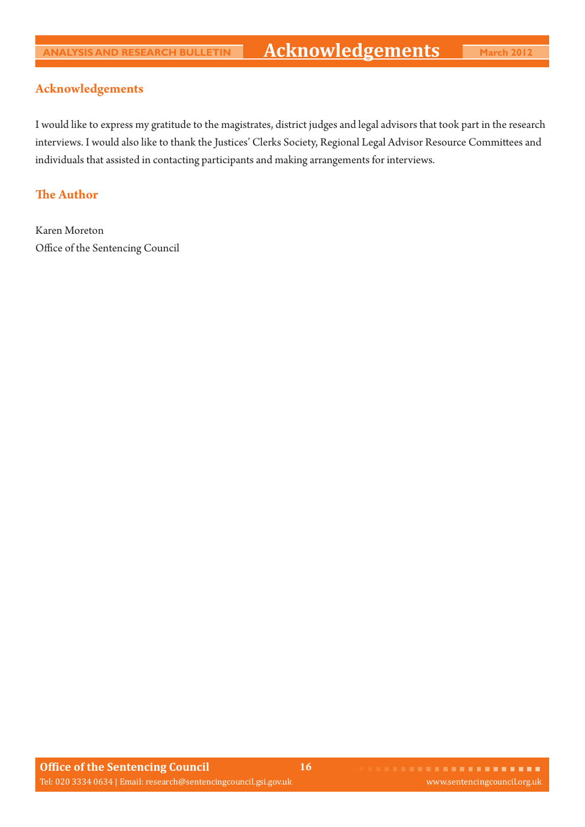### **Acknowledgements**

I would like to express my gratitude to the magistrates, district judges and legal advisors that took part in the research interviews. I would also like to thank the Justices' Clerks Society, Regional Legal Advisor Resource Committees and individuals that assisted in contacting participants and making arrangements for interviews.

### **The Author**

Karen Moreton Office of the Sentencing Council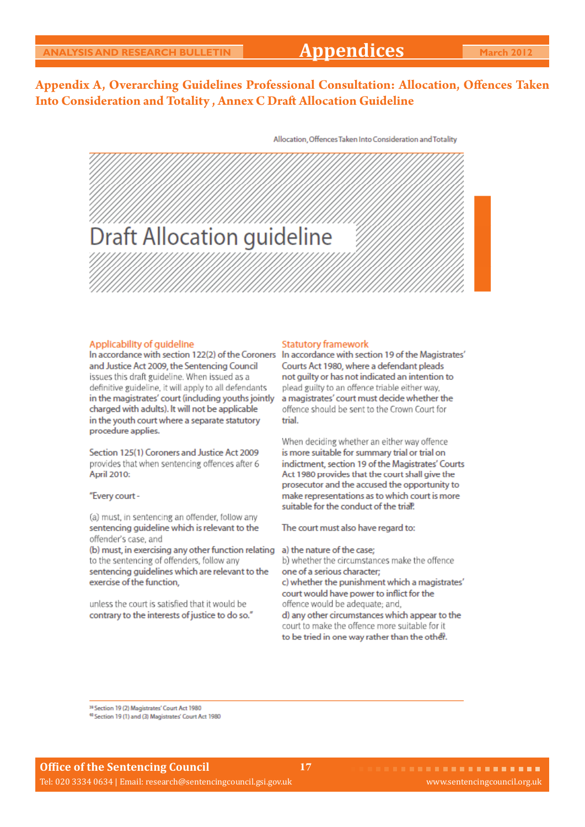# **Appendices**

Allocation, Offences Taken Into Consideration and Totality

### Appendix A, Overarching Guidelines Professional Consultation: Allocation, Offences Taken **Into Consideration and Totality, Annex C Draft Allocation Guideline**

**Draft Allocation guideline** 

#### Applicability of quideline

In accordance with section 122(2) of the Coroners In accordance with section 19 of the Magistrates' and Justice Act 2009, the Sentencing Council issues this draft guideline. When issued as a definitive guideline, it will apply to all defendants in the magistrates' court (including youths jointly charged with adults). It will not be applicable in the youth court where a separate statutory procedure applies.

Section 125(1) Coroners and Justice Act 2009 provides that when sentencing offences after 6 **April 2010:** 

#### "Every court -

(a) must, in sentencing an offender, follow any sentencing guideline which is relevant to the offender's case, and

(b) must, in exercising any other function relating to the sentencing of offenders, follow any sentencing quidelines which are relevant to the exercise of the function.

unless the court is satisfied that it would be contrary to the interests of justice to do so."

#### **Statutory framework**

Courts Act 1980, where a defendant pleads not guilty or has not indicated an intention to plead guilty to an offence triable either way, a magistrates' court must decide whether the offence should be sent to the Crown Court for trial

When deciding whether an either way offence is more suitable for summary trial or trial on indictment, section 19 of the Magistrates' Courts Act 1980 provides that the court shall give the prosecutor and the accused the opportunity to make representations as to which court is more suitable for the conduct of the trial?

The court must also have regard to:

a) the nature of the case; b) whether the circumstances make the offence one of a serious character: c) whether the punishment which a magistrates' court would have power to inflict for the offence would be adequate; and, d) any other circumstances which appear to the court to make the offence more suitable for it to be tried in one way rather than the other.

<sup>19</sup> Section 19 (2) Magistrates' Court Act 1980

<sup>40</sup> Section 19 (1) and (3) Magistrates' Court Act 1980

**17**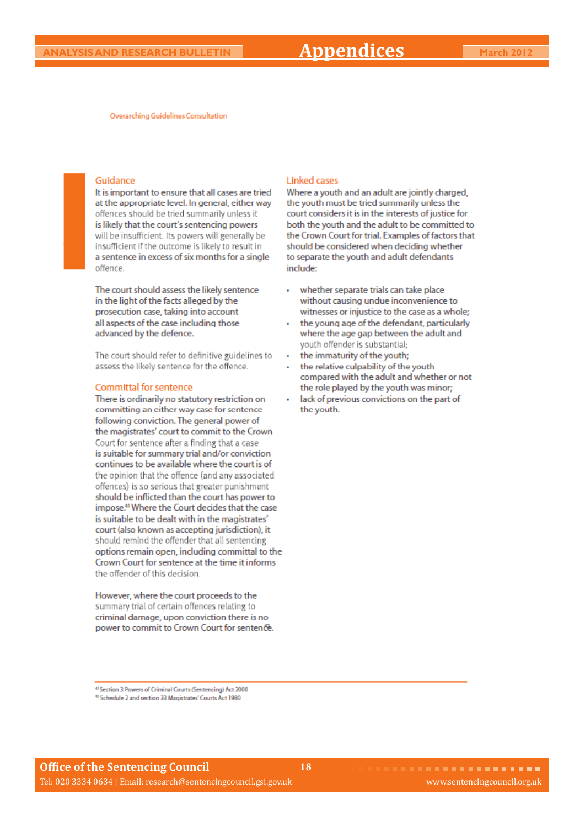Overarching Guidelines Consultation

#### Guidance

It is important to ensure that all cases are tried at the appropriate level. In general, either way offences should be tried summarily unless it is likely that the court's sentencing powers will be insufficient. Its powers will generally be insufficient if the outcome is likely to result in a sentence in excess of six months for a single offence

The court should assess the likely sentence in the light of the facts alleged by the prosecution case, taking into account all aspects of the case including those advanced by the defence.

The court should refer to definitive guidelines to assess the likely sentence for the offence.

#### **Committal for sentence**

There is ordinarily no statutory restriction on committing an either way case for sentence following conviction. The general power of the magistrates' court to commit to the Crown Court for sentence after a finding that a case is suitable for summary trial and/or conviction continues to be available where the court is of the opinion that the offence (and any associated offences) is so serious that greater punishment should be inflicted than the court has power to impose.<sup>41</sup> Where the Court decides that the case is suitable to be dealt with in the magistrates' court (also known as accepting jurisdiction), it should remind the offender that all sentencing options remain open, including committal to the Crown Court for sentence at the time it informs the offender of this decision

However, where the court proceeds to the summary trial of certain offences relating to criminal damage, upon conviction there is no power to commit to Crown Court for sentence.

#### **Linked cases**

**18**

Where a youth and an adult are jointly charged, the youth must be tried summarily unless the court considers it is in the interests of justice for both the youth and the adult to be committed to the Crown Court for trial. Examples of factors that should be considered when deciding whether to separate the youth and adult defendants include:

- whether separate trials can take place without causing undue inconvenience to witnesses or injustice to the case as a whole;
- the young age of the defendant, particularly where the age gap between the adult and youth offender is substantial;
- the immaturity of the youth;
- the relative culpability of the youth compared with the adult and whether or not the role played by the youth was minor;
- lack of previous convictions on the part of the youth.

<sup>(1</sup> Section 3 Powers of Criminal Courts (Sentencing) Act 2000 <sup>42</sup> Schedule 2 and section 33 Magistrates' Courts Act 1980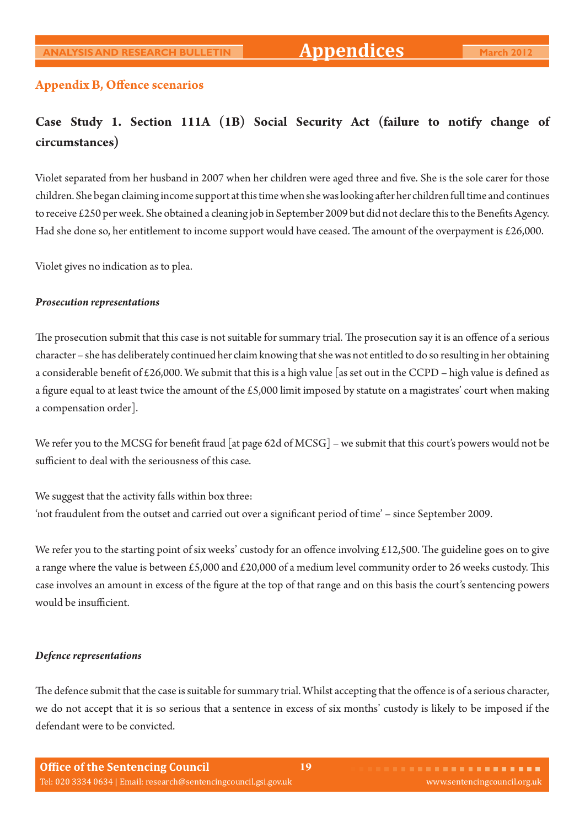#### **Appendix B, Offence scenarios**

# **Case Study 1. Section 111A (1B) Social Security Act (failure to notify change of circumstances)**

Violet separated from her husband in 2007 when her children were aged three and five. She is the sole carer for those children. She began claiming income support at this time when she was looking after her children full time and continues to receive  $\text{\pounds}250$  per week. She obtained a cleaning job in September 2009 but did not declare this to the Benefits Agency. Had she done so, her entitlement to income support would have ceased. The amount of the overpayment is £26,000.

Violet gives no indication as to plea.

#### *Prosecution representations*

The prosecution submit that this case is not suitable for summary trial. The prosecution say it is an offence of a serious character – she has deliberately continued her claim knowing that she was not entitled to do so resulting in her obtaining a considerable benefit of £26,000. We submit that this is a high value [as set out in the CCPD – high value is defined as a figure equal to at least twice the amount of the £5,000 limit imposed by statute on a magistrates' court when making a compensation order].

We refer you to the MCSG for benefit fraud [at page 62d of MCSG] – we submit that this court's powers would not be sufficient to deal with the seriousness of this case.

We suggest that the activity falls within box three: 'not fraudulent from the outset and carried out over a significant period of time' - since September 2009.

We refer you to the starting point of six weeks' custody for an offence involving £12,500. The guideline goes on to give a range where the value is between £5,000 and £20,000 of a medium level community order to 26 weeks custody. This case involves an amount in excess of the figure at the top of that range and on this basis the court's sentencing powers would be insufficient.

#### *Defence representations*

The defence submit that the case is suitable for summary trial. Whilst accepting that the offence is of a serious character, we do not accept that it is so serious that a sentence in excess of six months' custody is likely to be imposed if the defendant were to be convicted.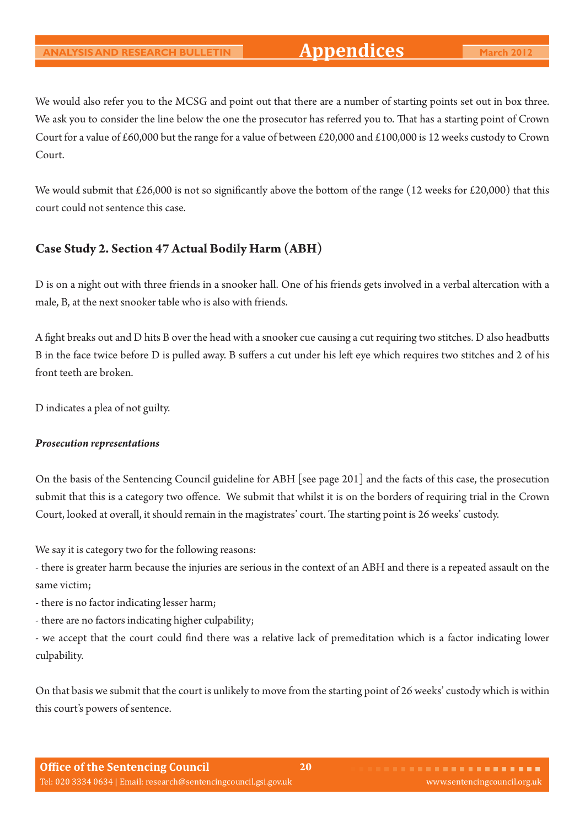We would also refer you to the MCSG and point out that there are a number of starting points set out in box three. We ask you to consider the line below the one the prosecutor has referred you to. That has a starting point of Crown Court for a value of £60,000 but the range for a value of between £20,000 and £100,000 is 12 weeks custody to Crown Court.

We would submit that £26,000 is not so significantly above the bottom of the range (12 weeks for £20,000) that this court could not sentence this case.

### **Case Study 2. Section 47 Actual Bodily Harm (ABH)**

D is on a night out with three friends in a snooker hall. One of his friends gets involved in a verbal altercation with a male, B, at the next snooker table who is also with friends.

A fight breaks out and D hits B over the head with a snooker cue causing a cut requiring two stitches. D also headbutts B in the face twice before D is pulled away. B suffers a cut under his left eye which requires two stitches and 2 of his front teeth are broken.

D indicates a plea of not guilty.

#### *Prosecution representations*

On the basis of the Sentencing Council guideline for ABH [see page 201] and the facts of this case, the prosecution submit that this is a category two offence. We submit that whilst it is on the borders of requiring trial in the Crown Court, looked at overall, it should remain in the magistrates' court. The starting point is 26 weeks' custody.

We say it is category two for the following reasons:

- there is greater harm because the injuries are serious in the context of an ABH and there is a repeated assault on the same victim;

- there is no factor indicating lesser harm;

- there are no factors indicating higher culpability;

- we accept that the court could find there was a relative lack of premeditation which is a factor indicating lower culpability.

On that basis we submit that the court is unlikely to move from the starting point of 26 weeks' custody which is within this court's powers of sentence.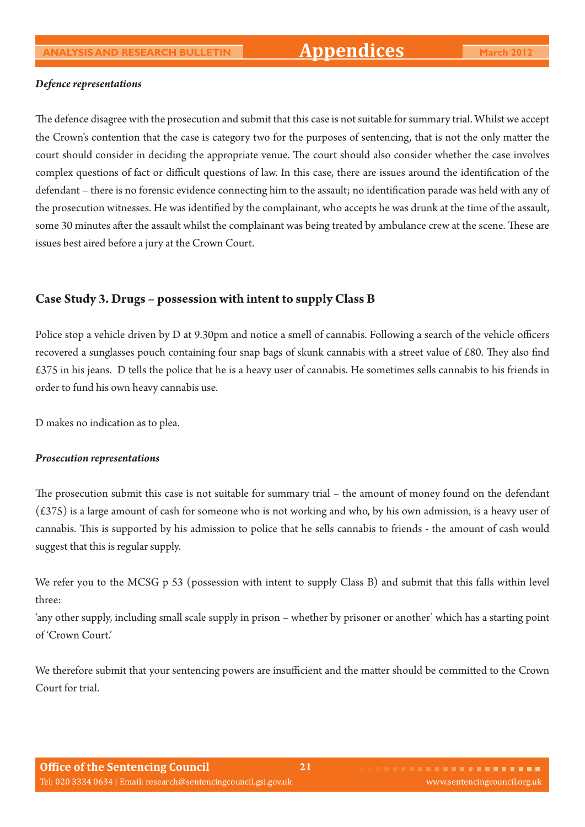#### *Defence representations*

The defence disagree with the prosecution and submit that this case is not suitable for summary trial. Whilst we accept the Crown's contention that the case is category two for the purposes of sentencing, that is not the only matter the court should consider in deciding the appropriate venue. The court should also consider whether the case involves complex questions of fact or difficult questions of law. In this case, there are issues around the identification of the defendant – there is no forensic evidence connecting him to the assault; no identification parade was held with any of the prosecution witnesses. He was identified by the complainant, who accepts he was drunk at the time of the assault, some 30 minutes after the assault whilst the complainant was being treated by ambulance crew at the scene. These are issues best aired before a jury at the Crown Court.

### **Case Study 3. Drugs – possession with intent to supply Class B**

Police stop a vehicle driven by D at 9.30pm and notice a smell of cannabis. Following a search of the vehicle officers recovered a sunglasses pouch containing four snap bags of skunk cannabis with a street value of  $\text{\pounds}80$ . They also find £375 in his jeans. D tells the police that he is a heavy user of cannabis. He sometimes sells cannabis to his friends in order to fund his own heavy cannabis use.

D makes no indication as to plea.

#### *Prosecution representations*

The prosecution submit this case is not suitable for summary trial – the amount of money found on the defendant (£375) is a large amount of cash for someone who is not working and who, by his own admission, is a heavy user of cannabis. This is supported by his admission to police that he sells cannabis to friends - the amount of cash would suggest that this is regular supply.

We refer you to the MCSG p 53 (possession with intent to supply Class B) and submit that this falls within level three:

'any other supply, including small scale supply in prison – whether by prisoner or another' which has a starting point of 'Crown Court.'

We therefore submit that your sentencing powers are insufficient and the matter should be committed to the Crown Court for trial.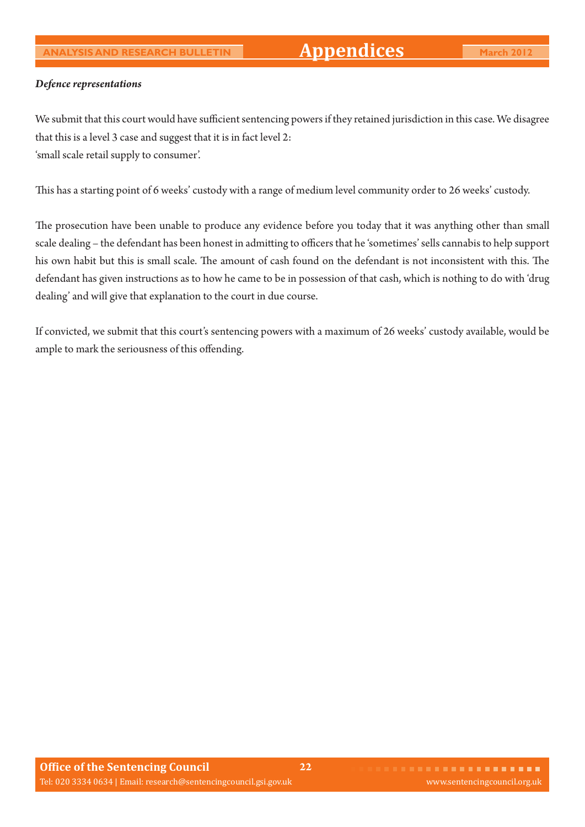#### *Defence representations*

We submit that this court would have sufficient sentencing powers if they retained jurisdiction in this case. We disagree that this is a level 3 case and suggest that it is in fact level 2: 'small scale retail supply to consumer'.

This has a starting point of 6 weeks' custody with a range of medium level community order to 26 weeks' custody.

The prosecution have been unable to produce any evidence before you today that it was anything other than small scale dealing – the defendant has been honest in admitting to officers that he 'sometimes' sells cannabis to help support his own habit but this is small scale. The amount of cash found on the defendant is not inconsistent with this. The defendant has given instructions as to how he came to be in possession of that cash, which is nothing to do with 'drug dealing' and will give that explanation to the court in due course.

If convicted, we submit that this court's sentencing powers with a maximum of 26 weeks' custody available, would be ample to mark the seriousness of this offending.

**22**